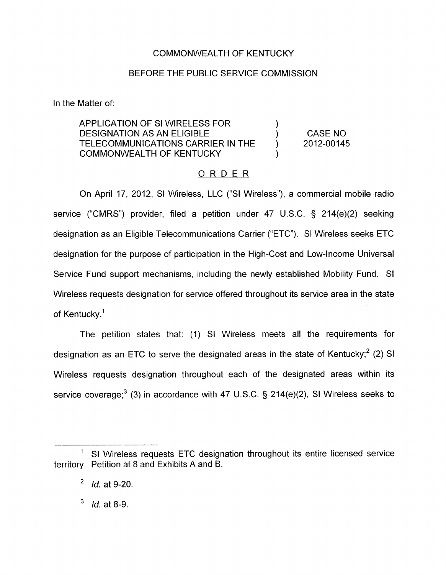# COMMONWEALTH OF KENTUCKY

# BEFORE THE PUBLIC SERVICE COMMISSION

In the Matter of:

APPLICATION OF SI WIRELESS FOR DESIGNATION AS AN ELIGIBLE ) CASE NO TELECOMMUNICATIONS CARRIER IN THE  $\qquad$  ) 2012-00145  $\sum_{i=1}^{n}$ COMMONWEALTH OF KENTUCKY 1

## ORDER

On April 17, 2012, SI Wireless, LLC ("SI Wireless"), a commercial mobile radio service ("CMRS") provider, filed a petition under 47 U.S.C. 5 214(e)(2) seeking designation as an Eligible Telecommunications Carrier ("ETC"). SI Wireless seeks ETC designation for the purpose of participation in the High-Cost and Low-income Universal Service Fund support mechanisms, including the newly established Mobility Fund. SI Wireless requests designation for service offered throughout its service area in the state of Kentucky.<sup>1</sup>

The petition states that: (1) SI Wireless meets all the requirements for designation as an ETC to serve the designated areas in the state of Kentucky;<sup>2</sup> (2) SI Wireless requests designation throughout each of the designated areas within its service coverage;<sup>3</sup> (3) in accordance with 47 U.S.C. § 214(e)(2), SI Wireless seeks to

<sup>&#</sup>x27; SI Wireless requests ETC designation throughout its entire licensed service territory. Petition at 8 and Exhibits A and B.

 $\overline{c}$ *Id.* at 9-20.

<sup>3</sup> *Id.* at 8-9.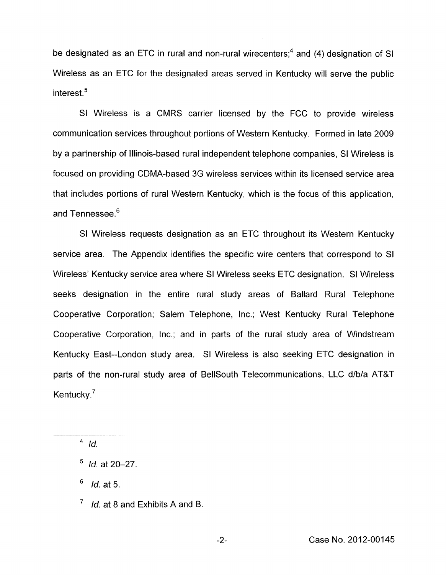be designated as an ETC in rural and non-rural wire centers;<sup>4</sup> and (4) designation of SI Wireless as an ETC for the designated areas served in Kentucky will serve the public interest.<sup>5</sup>

SI Wireless is a CMRS carrier licensed by the FCC to provide wireless communication services throughout portions of Western Kentucky. Formed in late 2009 by a partnership of Illinois-based rural independent telephone companies, SI Wireless is focused on providing CDMA-based 3G wireless services within its licensed service area that includes portions of rural Western Kentucky, which is the focus of this application, and Tennessee.<sup>6</sup>

SI Wireless requests designation as an ETC throughout its Western Kentucky service area. The Appendix identifies the specific wire centers that correspond to SI Wireless' Kentucky service area where SI Wireless seeks ETC designation. SI Wireless seeks designation in the entire rural study areas of Ballard Rural Telephone Cooperative Corporation; Salem Telephone, Inc.; West Kentucky Rural Telephone Cooperative Corporation, Inc.; and in parts of the rural study area of Windstream Kentucky East--London study area. SI Wireless is also seeking ETC designation in parts of the non-rural study area of BellSouth Telecommunications, LLC d/b/a AT&T Kentucky.<sup>7</sup>

 $1/4$  *Id.* 

*Id.* at 5.

 $\frac{6}{7}$  *Id.* at 5.<br><sup>7</sup> *Id.* at 8 and Exhibits A and B.

<sup>&</sup>lt;sup>5</sup> *Id.* at 20–27.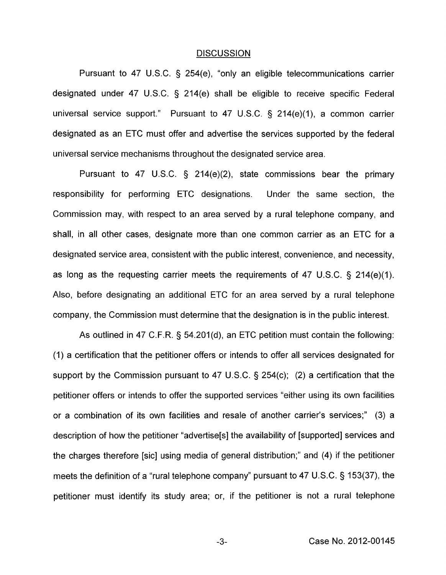#### **DISCUSSION**

Pursuant to 47 U.S.C. § 254(e), "only an eligible telecommunications carrier designated under 47 U.S.C. § 214(e) shall be eligible to receive specific Federal universal service support." Pursuant to 47 U.S.C.  $\S$  214(e)(1), a common carrier designated as an ETC must offer and advertise the services supported by the federal universal service mechanisms throughout the designated service area.

Pursuant to 47 U.S.C. § 214(e)(2), state commissions bear the primary responsibility for performing ETC designations. Under the same section, the Commission may, with respect to an area served by a rural telephone company, and shall, in all other cases, designate more than one common carrier as an ETC for a designated service area, consistent with the public interest, convenience, and necessity, as long as the requesting carrier meets the requirements of 47 U.S.C.  $\S$  214(e)(1). Also, before designating an additional ETC for an area served by a rural telephone company, the Commission must determine that the designation is in the public interest.

As outlined in 47 C.F.R. 5 54.201(d), an ETC petition must contain the following: (1) a certification that the petitioner offers or intends to offer all services designated for support by the Commission pursuant to 47 U.S.C. § 254(c); (2) a certification that the petitioner offers or intends to offer the supported services "either using its own facilities or a combination of its own facilities and resale of another carrier's services;" (3) a description of how the petitioner "advertise[s] the availability of [supported] services and the charges therefore [sic] using media of general distribution;" and (4) if the petitioner meets the definition of a "rural telephone company" pursuant to 47 U.S.C. § 153(37), the petitioner must identify its study area; or, if the petitioner is not a rural telephone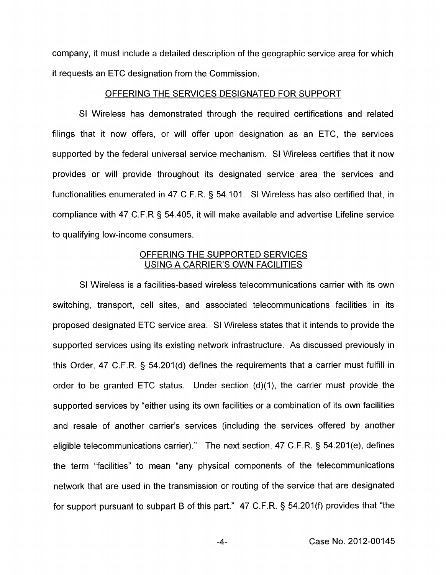company, it must include a detailed description of the geographic service area for which it requests an ETC designation from the Commission.

## OFFERING THE SERVICES DESIGNATED FOR SUPPORT

SI Wireless has demonstrated through the required certifications and related filings that it now offers, or will offer upon designation as an ETC, the services supported by the federal universal service mechanism. SI Wireless certifies that it now provides or will provide throughout its designated service area the services and functionalities enumerated in 47 C.F.R. § 54.101. SI Wireless has also certified that, in compliance with 47 C.F.R § 54.405, it will make available and advertise Lifeline service to qualifying low-income consumers.

# OFFERING THE SUPPORTED SERVICES USING A CARRIER'S OWN FACILITIES

SI Wireless is a facilities-based wireless telecommunications carrier with its own switching, transport, cell sites, and associated telecommunications facilities in its proposed designated ETC service area. SI Wireless states that it intends to provide the supported services using its existing network infrastructure. As discussed previously in this Order, 47 C.F.R. § 54.201(d) defines the requirements that a carrier must fulfill in order to be granted ETC status. Under section  $(d)(1)$ , the carrier must provide the supported services by "either using its own facilities or a combination of its own facilities and resale of another carrier's services (including the services offered by another eligible telecommunications carrier)." The next section, 47 C.F.R. § 54.201(e), defines the term "facilities" to mean "any physical components of the telecommunications network that are used in the transmission or routing of the service that are designated for support pursuant to subpart B of this part."  $47$  C.F.R. § 54.201(f) provides that "the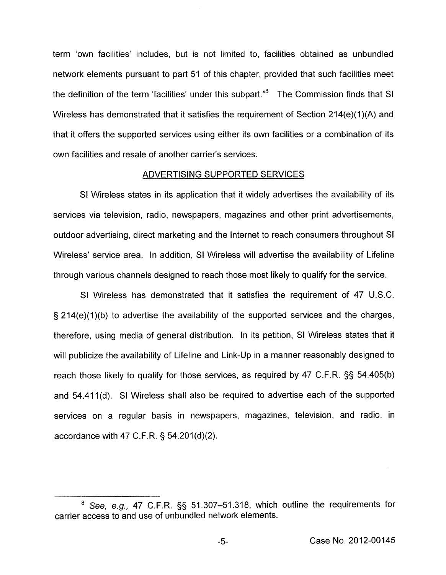term 'own facilities' includes, but is not limited to, facilities obtained as unbundled network elements pursuant to part 51 of this chapter, provided that such facilities meet the definition of the term 'facilities' under this subpart. $^{8}$  The Commission finds that SI Wireless has demonstrated that it satisfies the requirement of Section 214(e)(1)(A) and that it offers the supported services using either its own facilities or a combination of its own facilities and resale of another carrier's services.

## ADVERTISING SUPPORTED SERVICES

SI Wireless states in its application that it widely advertises the availability of its services via television, radio, newspapers, magazines and other print advertisements, outdoor advertising, direct marketing and the Internet to reach consumers throughout SI Wireless' service area. In addition, SI Wireless will advertise the availability of Lifeline through various channels designed to reach those most likely to qualify for the service.

**SI** Wireless has demonstrated that it satisfies the requirement of 47 U.S.C.  $\S$  214(e)(1)(b) to advertise the availability of the supported services and the charges, therefore, using media of general distribution. In its petition, SI Wireless states that it will publicize the availability of Lifeline and Link-Up in a manner reasonably designed to reach those likely to qualify for those services, as required by 47 C.F.R. §§ 54.405(b) and 54.411(d). SI Wireless shall also be required to advertise each of the supported services on a regular basis in newspapers, magazines, television, and radio, in accordance with 47 C.F.R.  $\S$  54.201(d)(2).

<sup>&#</sup>x27; See, *eg.,* 47 C.F.R. §§ 51.307-51.318, which outline the requirements for carrier access to and use of unbundled network elements.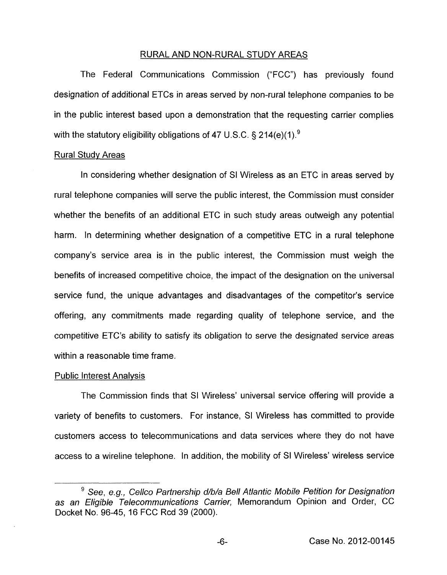## RURAL AND NON-RURAL STUDY AREAS

The Federal Communications Commission ("FCC") has previously found designation of additional ETCs in areas served by non-rural telephone companies to be in the public interest based upon a demonstration that the requesting carrier complies with the statutory eligibility obligations of 47 U.S.C. § 214(e)(1).<sup>9</sup>

#### Rural Studv Areas

In considering whether designation of SI Wireless as an ETC in areas served by rural telephone companies will serve the public interest, the Commission must consider whether the benefits of an additional ETC in such study areas outweigh any potential harm. In determining whether designation of a competitive ETC in a rural telephone company's service area is in the public interest, the Commission must weigh the benefits of increased competitive choice, the impact of the designation on the universal service fund, the unique advantages and disadvantages of the competitor's service offering, any commitments made regarding quality of telephone service, and the competitive ETC's ability to satisfy its obligation to serve the designated service areas within a reasonable time frame.

#### Public Interest Analvsis

The Commission finds that SI Wireless' universal service offering will provide a variety of benefits to customers. For instance, SI Wireless has committed to provide customers access to telecommunications and data services where they do not have access to a wireline telephone. In addition, the mobility of SI Wireless' wireless service

<sup>&</sup>lt;sup>9</sup> See, e.g., Cellco Partnership d/b/a Bell Atlantic Mobile Petition for Designation *as an Eligible Telecommunications Carrier,* Memorandum Opinion and Order, CC Docket No. 96-45, 16 FCC Rcd 39 (2000).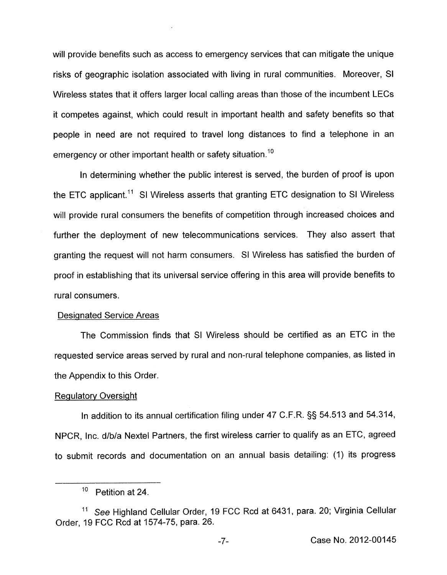will provide benefits such as access to emergency services that can mitigate the unique risks of geographic isolation associated with living in rural communities. Moreover, SI Wireless states that it offers larger local calling areas than those of the incumbent LECs it competes against, which could result in important health and safety benefits so that people in need are not required to travel long distances to find a telephone in an emergency or other important health or safety situation.<sup>10</sup>

In determining whether the public interest is served, the burden of proof is upon the ETC applicant.<sup>11</sup> SI Wireless asserts that granting ETC designation to SI Wireless will provide rural consumers the benefits of competition through increased choices and further the deployment of new telecommunications services. They also assert that granting the request will not harm consumers. SI Wireless has satisfied the burden of proof in establishing that its universal service offering in this area will provide benefits to rural consumers.

## Designated Service Areas

The Commission finds that SI Wireless should be certified as an ETC in the requested service areas served by rural and non-rural telephone companies, as listed in the Appendix to this Order.

## **Regulatory Oversight**

In addition to its annual certification filing under 47 C.F.R. §§ 54.513 and 54.314, NPCR, Inc. d/b/a Nextel Partners, the first wireless carrier to qualify as an ETC, agreed to submit records and documentation on an annual basis detailing: (1) its progress

 $10$  Petition at 24.

See Highland Cellular Order, 19 FCC Rcd at 6431, para. 20; Virginia Cellular Order, 19 FCC Rcd at 1574-75, para. 26.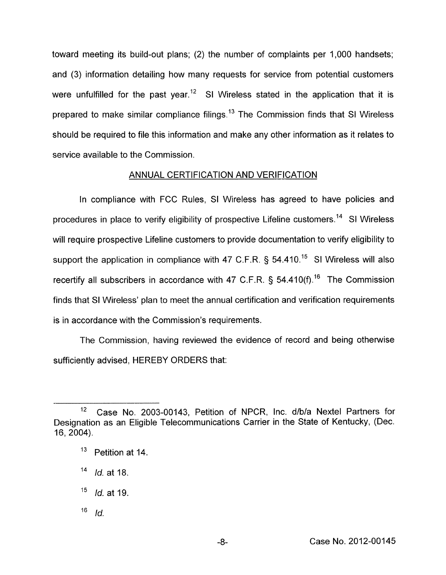toward meeting its build-out plans; (2) the number of complaints per 1,000 handsets; and (3) information detailing how many requests for service from potential customers were unfulfilled for the past year.<sup>12</sup> SI Wireless stated in the application that it is prepared to make similar compliance filings.<sup>13</sup> The Commission finds that SI Wireless should be required to file this information and make any other information as it relates to service available to the Commission.

# ANNUAL CERTIFICATION AND VERIFICATION

In compliance with FCC Rules, SI Wireless has agreed to have policies and procedures in place to verify eligibility of prospective Lifeline customers.<sup>14</sup> SI Wireless will require prospective Lifeline customers to provide documentation to verify eligibility to support the application in compliance with 47 C.F.R.  $\S$  54.410.<sup>15</sup> SI Wireless will also recertify all subscribers in accordance with 47 C.F.R.  $\frac{1}{5}$  54.410(f).<sup>16</sup> The Commission finds that SI Wireless' plan to meet the annual certification and verification requirements is in accordance with the Commission's requirements.

The Commission, having reviewed the evidence of record and being otherwise sufficiently advised, HEREBY ORDERS that:

16 *Id.* 

<sup>&</sup>lt;sup>12</sup> Case No. 2003-00143, Petition of NPCR, Inc. d/b/a Nextel Partners for Designation as an Eligible Telecommunications Carrier in the State of Kentucky, (Dec. 16, 2004).

**l3** Petition at 14.

**j4** *Id.* at 18.

**l5** *Id.* at 19.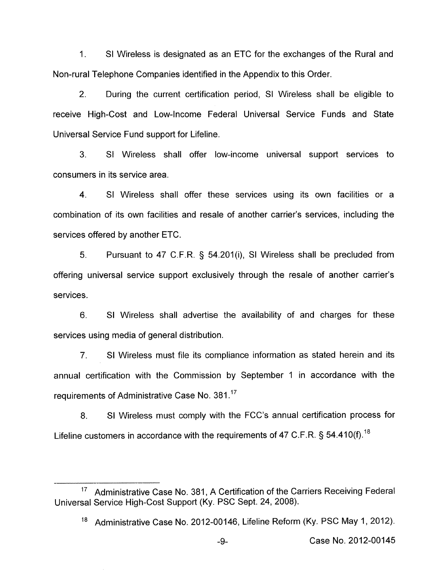1. SI Wireless is designated as an ETC for the exchanges of the Rural and Non-rural Telephone Companies identified in the Appendix to this Order.

2. During the current certification period, SI Wireless shall be eligible to receive High-Cost and Low-Income Federal Universal Service Funds and State Universal Service Fund support for Lifeline.

3. SI Wireless shall offer low-income universal support services to consumers in its service area.

4. SI Wireless shall offer these services using its own facilities or a combination of its own facilities and resale of another carrier's services, including the services offered by another ETC.

5. Pursuant to 47 C.F.R. *5* 54.201(i), SI Wireless shall be precluded from offering universal service support exclusively through the resale of another carrier's services.

*6.* SI Wireless shall advertise the availability of and charges for these services using media of general distribution.

7. SI Wireless must file its compliance information as stated herein and its annual certification with the Commission by September 1 in accordance with the requirements of Administrative Case No. 381.<sup>17</sup>

8. SI Wireless must comply with the FCC's annual certification process for Lifeline customers in accordance with the requirements of 47 C.F.R. § 54.410(f).<sup>18</sup>

<sup>&</sup>lt;sup>17</sup> Administrative Case No. 381, A Certification of the Carriers Receiving Federal Universal Service High-Cost Support (Ky. PSC Sept. 24, 2008).

<sup>&</sup>lt;sup>18</sup> Administrative Case No. 2012-00146, Lifeline Reform (Ky. PSC May 1, 2012).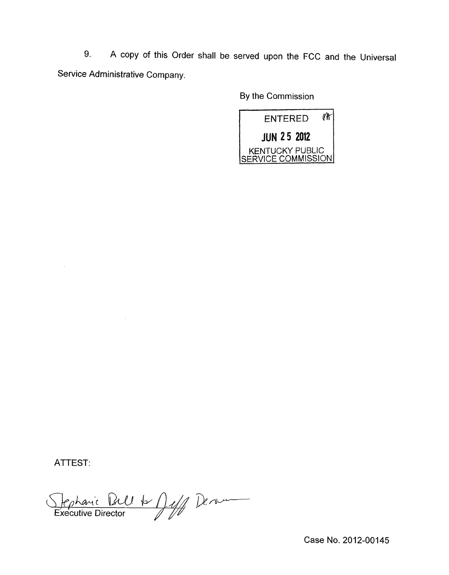9. A copy of this Order shall be served upon the FCC and the Universal Service Administrative Company

By the Commission



ATTEST:

Stephanic Paul A Duff Denver

Case No. 2012-00145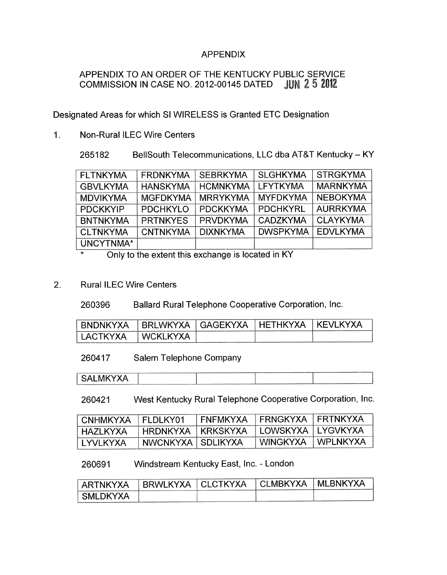# APPENDIX

# APPENDIX TO AN ORDER OF THE KENTUCKY PUBLIC SERVICE<br>COMMISSION IN CASE NO. 2012-00145 DATED JUN 2.5 2012 COMMISSION IN CASE NO. 2012-00145 DATED

Designated Areas for which SI WIRELESS is Granted ETC Designation

1. Non-Rural ILEC Wire Centers

265182 BellSouth Telecommunications, LLC dba AT&T Kentucky - KY

| <b>FLTNKYMA</b> | <b>FRDNKYMA</b> | <b>SEBRKYMA</b> | <b>SLGHKYMA</b> | <b>STRGKYMA</b> |
|-----------------|-----------------|-----------------|-----------------|-----------------|
| <b>GBVLKYMA</b> | <b>HANSKYMA</b> | <b>HCMNKYMA</b> | <b>LFYTKYMA</b> | <b>MARNKYMA</b> |
| <b>MDVIKYMA</b> | <b>MGFDKYMA</b> | <b>MRRYKYMA</b> | <b>MYFDKYMA</b> | <b>NEBOKYMA</b> |
| <b>PDCKKYIP</b> | <b>PDCHKYLO</b> | <b>PDCKKYMA</b> | <b>PDCHKYRL</b> | <b>AURRKYMA</b> |
| <b>BNTNKYMA</b> | <b>PRTNKYES</b> | <b>PRVDKYMA</b> | <b>CADZKYMA</b> | <b>CLAYKYMA</b> |
| <b>CLTNKYMA</b> | <b>CNTNKYMA</b> | <b>DIXNKYMA</b> | <b>DWSPKYMA</b> | <b>EDVLKYMA</b> |
| UNCYTNMA*       |                 |                 |                 |                 |

Only to the extent this exchange is located in KY

2. Rural ILEC Wire Centers

260396 Ballard Rural Telephone Cooperative Corporation, Inc.

| <b>RNDNKYXA</b> | RRI<br>/ x Δ<br>ww.    | GAGEKYX   | HETHKYXA | <b>KYXA</b><br>TKEVL |
|-----------------|------------------------|-----------|----------|----------------------|
| TKVYA<br>ΔI.    | KVYA<br>- VALC<br>`K I | _________ |          |                      |

260417 Salem Telephone Company

260421 West Kentucky Rural Telephone Cooperative Corporation, Inc.

| CNHMKYXA   FLDLKY01 |                       | FNFMKYXA | FRNGKYXA   FRTNKYXA   |                   |
|---------------------|-----------------------|----------|-----------------------|-------------------|
| HAZI KYXA           | ' HRDNKYXA   KRKSKYXA |          | ' LOWSKYXA   LYGVKYXA |                   |
| I YVI KYXA          | NWCNKYXA   SDLIKYXA   |          | WINGKYXA              | <b>I WPLNKYXA</b> |

260691 Windstream Kentucky East, Inc. - London

| ' ARTNKYXA  | - RRWI KYXA | * ±CLCTKYXA → | ± CLMBKYXA ⊺ | MLBNKYXA |
|-------------|-------------|---------------|--------------|----------|
| ' SMLDKYXA. |             |               |              |          |